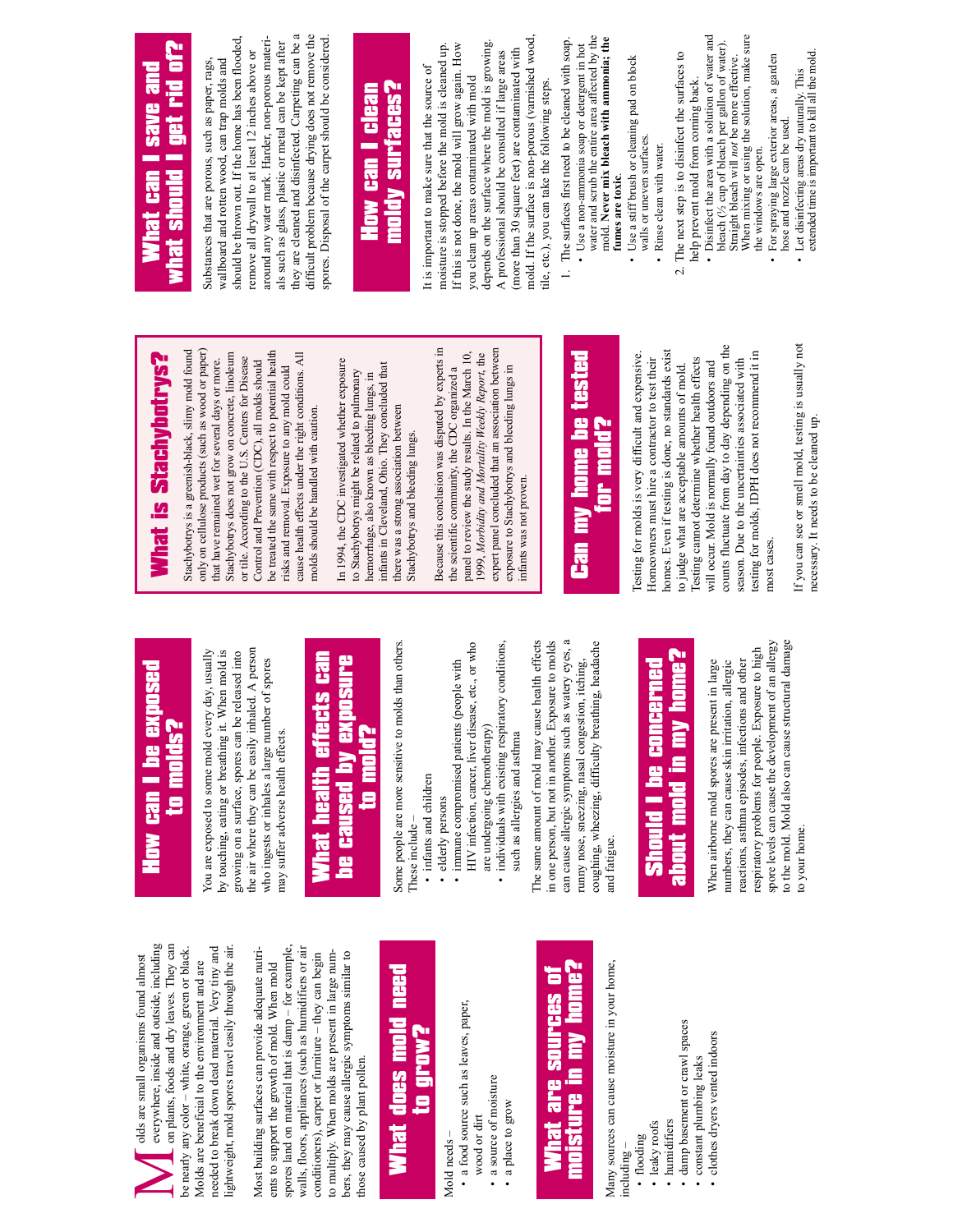**How Can I be expressed to model the model of the exposed** and architecture to molds and the molds of the molds? everywhere, inside and outside, including on plants, foods and dry leaves. They can everywhere, inside and outside, including on plants, foods and dry leaves. They can needed to break down dead material. Very tiny and lightweight, mold spores travel easily through the air. be nearly any color - white, orange, green or black. be nearly any color – white, orange, green or black. needed to break down dead material. Very tiny and ightweight, mold spores travel easily through the air olds are small organisms found almost olds are small organisms found almost Molds are beneficial to the environment and are Molds are beneficial to the environment and are M

spores land on material that is damp – for example, walls, floors, appliances (such as humidifiers or air Most building surfaces can provide adequate nutri-Most building surfaces can provide adequate nutrispores land on material that is damp - for example walls, floors, appliances (such as humidifiers or air conditioners), carpet or furniture  $-$  they can begin to multiply. When molds are present in large numto multiply. When molds are present in large numbers, they may cause allergic symptoms similar to conditioners), carpet or furniture – they can begin bers, they may cause allergic symptoms similar to ents to support the growth of mold. When mold ents to support the growth of mold. When mold those caused by plant pollen. those caused by plant pollen.

### need What does mold need What does mold to grow?

Mold needs -Mold needs –

- a food source such as leaves, paper, · a food source such as leaves, paper,
- wood or dirt wood or dirt
	- a source of moisture • a source of moisture
		- a place to grow • a place to grow

#### moisture in my home? moisture in my home? What are sources of ā are sources What

Many sources can cause moisture in your home, Many sources can cause moisture in your home,

- including
	- flooding
- · leaky roofs • leaky roofs
- humidifiers • humidifiers
- · damp basement or crawl spaces • damp basement or crawl spaces
- constant plumbing leaks • constant plumbing leaks
- · clothes dryers vented indoors • clothes dryers vented indoors

## **Can ide exposed** to molds? **Now**

the air where they can be easily inhaled. A person<br>who ingests or inhales a large number of spores by touching, eating or breathing it. When mold is the air where they can be easily inhaled. A person You are exposed to some mold every day, usually You are exposed to some mold every day, usually by touching, eating or breathing it. When mold is growing on a surface, spores can be released into growing on a surface, spores can be released into who ingests or inhales a large number of spores may suffer adverse health effects. may suffer adverse health effects.

#### What health effects can What health effects can be caused by exposure be caused by exposure to mold?

Some people are more sensitive to molds than others. Some people are more sensitive to molds than others These include – These include

- infants and children • infants and children
- immune compromised patients (people with · elderly persons • elderly persons

immune compromised patients (people with

- HIV infection, cancer, liver disease, etc., or who HIV infection, cancer, liver disease, etc., or who individuals with existing respiratory conditions, are undergoing chemotherapy) are undergoing chemotherapy)
	- individuals with existing respiratory conditions, such as allergies and asthma such as allergies and asthma

can cause allergic symptoms such as watery eyes, a The same amount of mold may cause health effects The same amount of mold may cause health effects in one person, but not in another. Exposure to molds can cause allergic symptoms such as watery eyes, a coughing, wheezing, difficulty breathing, headache in one person, but not in another. Exposure to molds coughing, wheezing, difficulty breathing, headache runny nose, sneezing, nasal congestion, itching, runny nose, sneezing, nasal congestion, itching, and fatigue. and fatigue.

### about mold in my home? about mold in my home? Should I be concerned Should I be concerned

spore levels can cause the development of an allergy spore levels can cause the development of an allergy to the mold. Mold also can cause structural damage to the mold. Mold also can cause structural damage respiratory problems for people. Exposure to high respiratory problems for people. Exposure to high reactions, asthma episodes, infections and other When airborne mold spores are present in large numbers, they can cause skin irritation, allergic When airborne mold spores are present in large reactions, asthma episodes, infections and other numbers, they can cause skin irritation, allergic to your home. to your home.

# What is Stachybotrys? What is Stachybotrys?

Stachybotrys is a greenish-black, slimy mold found only on cellulose products (such as wood or paper) Stachybotrys is a greenish-black, slimy mold found only on cellulose products (such as wood or paper) be treated the same with respect to potential health be treated the same with respect to potential health Stachybotrys does not grow on concrete, linoleum Stachybotrys does not grow on concrete, linoleum cause health effects under the right conditions. All cause health effects under the right conditions. All or tile. According to the U.S. Centers for Disease or tile. According to the U.S. Centers for Disease Control and Prevention (CDC), all molds should that have remained wet for several days or more. that have remained wet for several days or more. Control and Prevention (CDC), all molds should risks and removal. Exposure to any mold could risks and removal. Exposure to any mold could molds should be handled with caution. molds should be handled with caution.

In 1994, the CDC investigated whether exposure In 1994, the CDC investigated whether exposure infants in Cleveland, Ohio. They concluded that infants in Cleveland, Ohio. They concluded that to Stachybotrys might be related to pulmonary to Stachybotrys might be related to pulmonary hemorrhage, also known as bleeding lungs, in hemorrhage, also known as bleeding lungs, in there was a strong association between there was a strong association between Stachybotrys and bleeding lungs. Stachybotrys and bleeding lungs. Because this conclusion was disputed by experts in Because this conclusion was disputed by experts in expert panel concluded that an association between expert panel concluded that an association between panel to review the study results. In the March 10, panel to review the study results. In the March 10, 1999, Morbidity and Mortality Weekly Report, the 1999, *Morbidity and Mortality Weekly Report*, the the scientific community, the CDC organized a exposure to Stachybotrys and bleeding lungs in exposure to Stachybotrys and bleeding lungs in the scientific community, the CDC organized a infants was not proven infants was not proven.

#### tested Can my home be tested Can my home be **or mold?** for mold?

counts fluctuate from day to day depending on the counts fluctuate from day to day depending on the homes. Even if testing is done, no standards exist homes. Even if testing is done, no standards exist esting for molds, IDPH does not recommend it in esting for molds is very difficult and expensive. Testing for molds is very difficult and expensive. testing for molds, IDPH does not recommend it in Iesting cannot determine whether health effects season. Due to the uncertainties associated with Iomeowners must hire a contractor to test their Homeowners must hire a contractor to test their Testing cannot determine whether health effects season. Due to the uncertainties associated with to judge what are acceptable amounts of mold. will occur. Mold is normally found outdoors and will occur. Mold is normally found outdoors and to judge what are acceptable amounts of mold. nost cases. most cases.

If you can see or smell mold, testing is usually not If you can see or smell mold, testing is usually not necessary. It needs to be cleaned up. necessary. It needs to be cleaned up.

#### what should I get rid of? What can I save and **ule anes Tet rid** what should Mhat can

around any water mark. Harder, non-porous materithey are cleaned and disinfected. Carpeting can be a difficult problem because drying does not remove the they are cleaned and disinfected. Carpeting can be a difficult problem because drying does not remove the spores. Disposal of the carpet should be considered. spores. Disposal of the carpet should be considered. should be thrown out. If the home has been flooded, should be thrown out. If the home has been flooded, around any water mark. Harder, non-porous materials such as glass, plastic or metal can be kept after als such as glass, plastic or metal can be kept after remove all drywall to at least 12 inches above or remove all drywall to at least 12 inches above or Substances that are porous, such as paper, rags, wallboard and rotten wood, can trap molds and Substances that are porous, such as paper, rags, wallboard and rotten wood, can trap molds and

#### moldy surfaces? moldy surfaces? **How can I clean** How can I clean

mold. If the surface is non-porous (varnished wood, mold. If the surface is non-porous (varnished wood, depends on the surface where the mold is growing. depends on the surface where the mold is growing. moisture is stopped before the mold is cleaned up. moisture is stopped before the mold is cleaned up. If this is not done, the mold will grow again. How If this is not done, the mold will grow again. How (more than 30 square feet) are contaminated with (more than 30 square feet) are contaminated with A professional should be consulted if large areas A professional should be consulted if large areas It is important to make sure that the source of It is important to make sure that the source of you clean up areas contaminated with mold you clean up areas contaminated with mold tile, etc.), you can take the following steps. tile, etc.), you can take the following steps.

- 1. The surfaces first need to be cleaned with soap. 1. The surfaces first need to be cleaned with soap.
- water and scrub the entire area affected by the water and scrub the entire area affected by the mold. **Never mix bleach with ammonia; the**  mold. Never mix bleach with ammonia; the • Use a non-ammonia soap or detergent in hot • Use a non-ammonia soap or detergent in hot fumes are toxic. **fumes are toxic**.
	- Use a stiff brush or cleaning pad on block • Use a stiff brush or cleaning pad on block walls or uneven surfaces. walls or uneven surfaces. · Rinse clean with water. • Rinse clean with water.
- The next step is to disinfect the surfaces to 2. The next step is to disinfect the surfaces to  $\overline{\mathcal{N}}$
- Disinfect the area with a solution of water and • Disinfect the area with a solution of water and bleach (½ cup of bleach per gallon of water). bleach (1/2 cup of bleach per gallon of water). Straight bleach will *not* be more effective. Straight bleach will not be more effective. help prevent mold from coming back. help prevent mold from coming back.
	- When mixing or using the solution, make sure When mixing or using the solution, make sure · For spraying large exterior areas, a garden • For spraying large exterior areas, a garden the windows are open. the windows are open.
		- Let disinfecting areas dry naturally. This<br>extended time is important to kill all the mold. extended time is important to kill all the mold. • Let disinfecting areas dry naturally. This hose and nozzle can be used. hose and nozzle can be used.